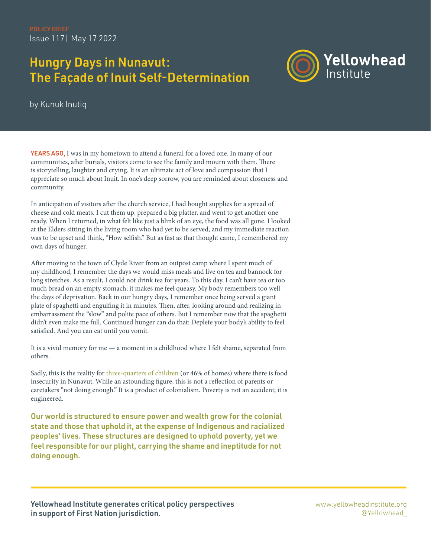Issue 117| May 17 2022

# Hungry Days in Nunavut: The Façade of Inuit Self-Determination



by Kunuk Inutiq

YEARS AGO, I was in my hometown to attend a funeral for a loved one. In many of our communities, after burials, visitors come to see the family and mourn with them. There is storytelling, laughter and crying. It is an ultimate act of love and compassion that I appreciate so much about Inuit. In one's deep sorrow, you are reminded about closeness and community.

In anticipation of visitors after the church service, I had bought supplies for a spread of cheese and cold meats. I cut them up, prepared a big platter, and went to get another one ready. When I returned, in what felt like just a blink of an eye, the food was all gone. I looked at the Elders sitting in the living room who had yet to be served, and my immediate reaction was to be upset and think, "How selfish." But as fast as that thought came, I remembered my own days of hunger.

After moving to the town of Clyde River from an outpost camp where I spent much of my childhood, I remember the days we would miss meals and live on tea and bannock for long stretches. As a result, I could not drink tea for years. To this day, I can't have tea or too much bread on an empty stomach; it makes me feel queasy. My body remembers too well the days of deprivation. Back in our hungry days, I remember once being served a giant plate of spaghetti and engulfing it in minutes. Then, after, looking around and realizing in embarrassment the "slow" and polite pace of others. But I remember now that the spaghetti didn't even make me full. Continued hunger can do that: Deplete your body's ability to feel satisfied. And you can eat until you vomit.

It is a vivid memory for me — a moment in a childhood where I felt shame, separated from others.

Sadly, this is the reality for [three-quarters of children](https://www.cbc.ca/news/canada/north/food-insecurity-nunavut-nutrition-north-1.5140132) (or 46% of homes) where there is food insecurity in Nunavut. While an astounding figure, this is not a reflection of parents or caretakers "not doing enough." It is a product of colonialism. Poverty is not an accident; it is engineered.

Our world is structured to ensure power and wealth grow for the colonial state and those that uphold it, at the expense of Indigenous and racialized peoples' lives. These structures are designed to uphold poverty, yet we feel responsible for our plight, carrying the shame and ineptitude for not doing enough.

Yellowhead Institute generates critical policy perspectives in support of First Nation jurisdiction.

[www.yellowheadinstitute.org](https://www.theglobeandmail.com/opinion/article-the-mmiwg-inquiry-cannot-be-allowed-to-fail/) [@Yellowhead\\_](http://www.mmiwg-ffada.ca/wp-content/uploads/2018/03/ni-mmiwg-interim-report.pdf)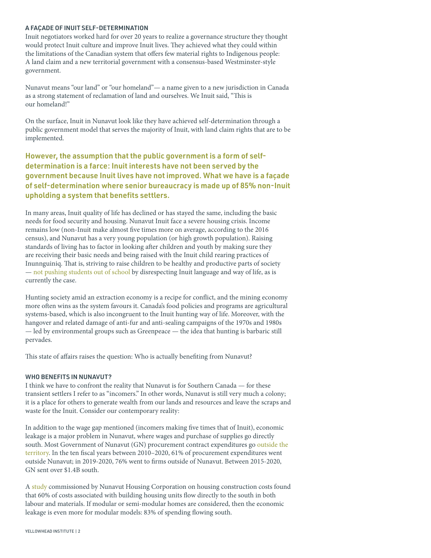#### A FAÇADE OF INUIT SELF-DETERMINATION

Inuit negotiators worked hard for over 20 years to realize a governance structure they thought would protect Inuit culture and improve Inuit lives. They achieved what they could within the limitations of the Canadian system that offers few material rights to Indigenous people: A land claim and a new territorial government with a consensus-based Westminster-style government.

Nunavut means "our land" or "our homeland"— a name given to a new jurisdiction in Canada as a strong statement of reclamation of land and ourselves. We Inuit said, "This is our homeland!"

On the surface, Inuit in Nunavut look like they have achieved self-determination through a public government model that serves the majority of Inuit, with land claim rights that are to be implemented.

## However, the assumption that the public government is a form of selfdetermination is a farce: Inuit interests have not been served by the government because Inuit lives have not improved. What we have is a façade of self-determination where senior bureaucracy is made up of 85% non-Inuit upholding a system that benefits settlers.

In many areas, Inuit quality of life has declined or has stayed the same, including the basic needs for food security and housing. Nunavut Inuit face a severe housing crisis. Income remains low (non-Inuit make almost five times more on average, according to the 2016 census), and Nunavut has a very young population (or high growth population). Raising standards of living has to factor in looking after children and youth by making sure they are receiving their basic needs and being raised with the Inuit child rearing practices of Inunnguiniq. That is, striving to raise children to be healthy and productive parts of society — [not pushing students out of school](https://www.tunngavik.com/files/2019/04/NuLinguicideReportFINAL.pdf) by disrespecting Inuit language and way of life, as is currently the case.

Hunting society amid an extraction economy is a recipe for conflict, and the mining economy more often wins as the system favours it. Canada's food policies and programs are agricultural systems-based, which is also incongruent to the Inuit hunting way of life. Moreover, with the hangover and related damage of anti-fur and anti-sealing campaigns of the 1970s and 1980s — led by environmental groups such as Greenpeace — the idea that hunting is barbaric still pervades.

This state of affairs raises the question: Who is actually benefiting from Nunavut?

#### WHO BENEFITS IN NUNAVUT?

I think we have to confront the reality that Nunavut is for Southern Canada — for these transient settlers I refer to as "incomers." In other words, Nunavut is still very much a colony; it is a place for others to generate wealth from our lands and resources and leave the scraps and waste for the Inuit. Consider our contemporary reality:

In addition to the wage gap mentioned (incomers making five times that of Inuit), economic leakage is a major problem in Nunavut, where wages and purchase of supplies go directly south. Most Government of Nunavut (GN) procurement contract expenditures go [outside the](https://www.gov.nu.ca/procurement-and-contract-services)  [territory](https://www.gov.nu.ca/procurement-and-contract-services). In the ten fiscal years between 2010–2020, 61% of procurement expenditures went outside Nunavut; in 2019-2020, 76% went to firms outside of Nunavut. Between 2015-2020, GN sent over \$1.4B south.

A [study](https://assembly.nu.ca/sites/default/files/TD-433-5(2)-EN-NHC-Construction-Cost-Review-July-2021.pdf) commissioned by Nunavut Housing Corporation on housing construction costs found that 60% of costs associated with building housing units flow directly to the south in both labour and materials. If modular or semi-modular homes are considered, then the economic leakage is even more for modular models: 83% of spending flowing south.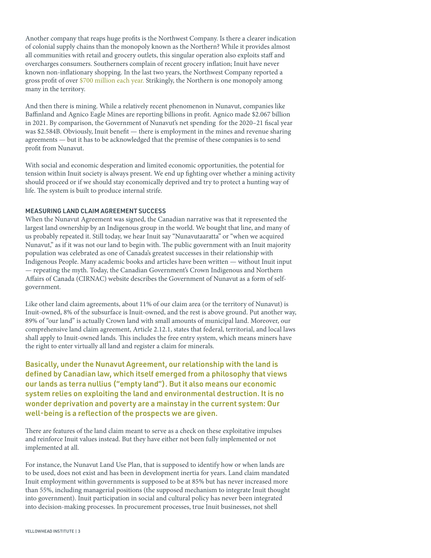Another company that reaps huge profits is the Northwest Company. Is there a clearer indication of colonial supply chains than the monopoly known as the Northern? While it provides almost all communities with retail and grocery outlets, this singular operation also exploits staff and overcharges consumers. Southerners complain of recent grocery inflation; Inuit have never known non-inflationary shopping. In the last two years, the Northwest Company reported a gross profit of over [\\$700 million each year.](https://www.northwest.ca/investors/annual-filings) Strikingly, the Northern is one monopoly among many in the territory.

And then there is mining. While a relatively recent phenomenon in Nunavut, companies like Baffinland and Agnico Eagle Mines are reporting billions in profit. Agnico made \$2.067 billion in 2021. By comparison, the Government of Nunavut's net spending for the 2020–21 fiscal year was \$2.584B. Obviously, Inuit benefit — there is employment in the mines and revenue sharing agreements — but it has to be acknowledged that the premise of these companies is to send profit from Nunavut.

With social and economic desperation and limited economic opportunities, the potential for tension within Inuit society is always present. We end up fighting over whether a mining activity should proceed or if we should stay economically deprived and try to protect a hunting way of life. The system is built to produce internal strife.

### MEASURING LAND CLAIM AGREEMENT SUCCESS

When the Nunavut Agreement was signed, the Canadian narrative was that it represented the largest land ownership by an Indigenous group in the world. We bought that line, and many of us probably repeated it. Still today, we hear Inuit say "Nunavutaaratta" or "when we acquired Nunavut," as if it was not our land to begin with. The public government with an Inuit majority population was celebrated as one of Canada's greatest successes in their relationship with Indigenous People. Many academic books and articles have been written — without Inuit input — repeating the myth. Today, the Canadian Government's Crown Indigenous and Northern Affairs of Canada (CIRNAC) website describes the Government of Nunavut as a form of selfgovernment.

Like other land claim agreements, about 11% of our claim area (or the territory of Nunavut) is Inuit-owned, 8% of the subsurface is Inuit-owned, and the rest is above ground. Put another way, 89% of "our land" is actually Crown land with small amounts of municipal land. Moreover, our comprehensive land claim agreement, Article 2.12.1, states that federal, territorial, and local laws shall apply to Inuit-owned lands. This includes the free entry system, which means miners have the right to enter virtually all land and register a claim for minerals.

Basically, under the Nunavut Agreement, our relationship with the land is defined by Canadian law, which itself emerged from a philosophy that views our lands as terra nullius ("empty land"). But it also means our economic system relies on exploiting the land and environmental destruction. It is no wonder deprivation and poverty are a mainstay in the current system: Our well-being is a reflection of the prospects we are given.

There are features of the land claim meant to serve as a check on these exploitative impulses and reinforce Inuit values instead. But they have either not been fully implemented or not implemented at all.

For instance, the Nunavut Land Use Plan, that is supposed to identify how or when lands are to be used, does not exist and has been in development inertia for years. Land claim mandated Inuit employment within governments is supposed to be at 85% but has never increased more than 55%, including managerial positions (the supposed mechanism to integrate Inuit thought into government). Inuit participation in social and cultural policy has never been integrated into decision-making processes. In procurement processes, true Inuit businesses, not shell